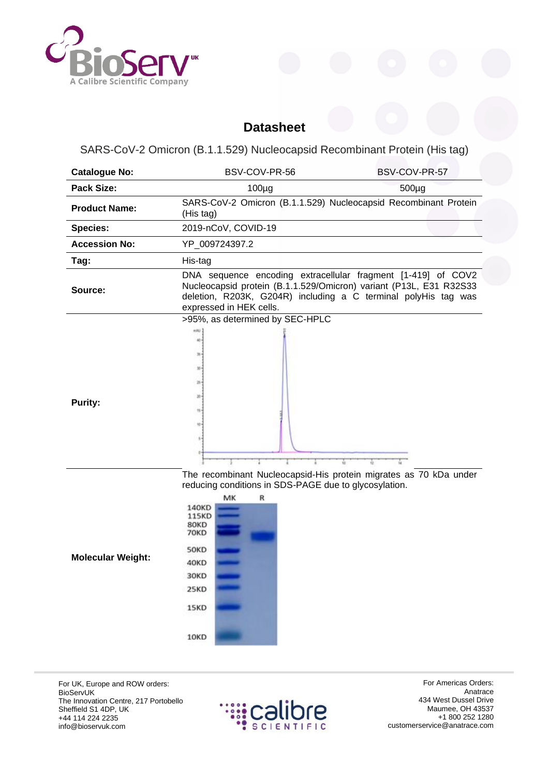

## **Datasheet**

SARS-CoV-2 Omicron (B.1.1.529) Nucleocapsid Recombinant Protein (His tag)

| <b>Catalogue No:</b>     | BSV-COV-PR-56                                                                                                                                                                                                                                                      | BSV-COV-PR-57 |
|--------------------------|--------------------------------------------------------------------------------------------------------------------------------------------------------------------------------------------------------------------------------------------------------------------|---------------|
| <b>Pack Size:</b>        | $100\mug$                                                                                                                                                                                                                                                          | 500µg         |
| <b>Product Name:</b>     | SARS-CoV-2 Omicron (B.1.1.529) Nucleocapsid Recombinant Protein<br>(His tag)                                                                                                                                                                                       |               |
| <b>Species:</b>          | 2019-nCoV, COVID-19                                                                                                                                                                                                                                                |               |
| <b>Accession No:</b>     | YP_009724397.2                                                                                                                                                                                                                                                     |               |
| Tag:                     | His-tag                                                                                                                                                                                                                                                            |               |
| Source:                  | DNA sequence encoding extracellular fragment [1-419] of COV2<br>Nucleocapsid protein (B.1.1.529/Omicron) variant (P13L, E31 R32S33<br>deletion, R203K, G204R) including a C terminal polyHis tag was<br>expressed in HEK cells.<br>>95%, as determined by SEC-HPLC |               |
| <b>Purity:</b>           |                                                                                                                                                                                                                                                                    |               |
| <b>Molecular Weight:</b> | The recombinant Nucleocapsid-His protein migrates as 70 kDa under<br>reducing conditions in SDS-PAGE due to glycosylation.<br>MK<br>R<br>140KD<br>115KD<br>80KD<br>70KD<br>50KD<br>40KD<br>30KD<br>25KD<br>15KD<br>10KD                                            |               |

For UK, Europe and ROW orders: BioServUK The Innovation Centre, 217 Portobello Sheffield S1 4DP, UK +44 114 224 2235 info@bioservuk.com